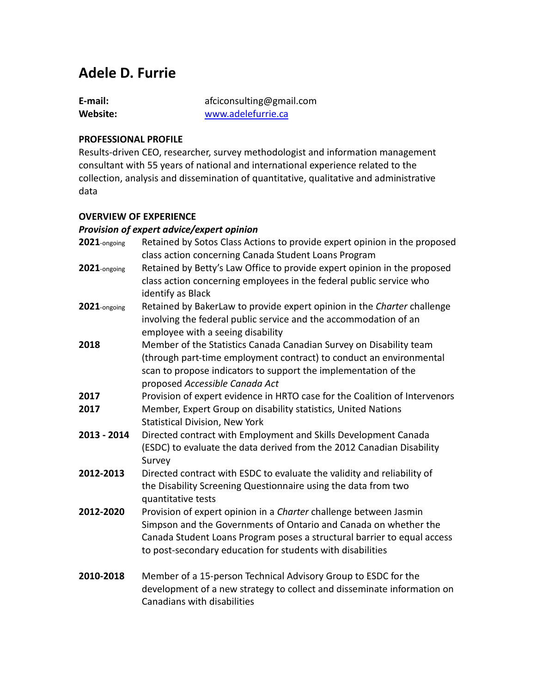# **Adele D. Furrie**

| E-mail:  | afciconsulting@gmail.com |
|----------|--------------------------|
| Website: | www.adelefurrie.ca       |

#### **PROFESSIONAL PROFILE**

Results-driven CEO, researcher, survey methodologist and information management consultant with 55 years of national and international experience related to the collection, analysis and dissemination of quantitative, qualitative and administrative data

#### **OVERVIEW OF EXPERIENCE**

#### *Provision of expert advice/expert opinion*

| 2021-ongoing | Retained by Sotos Class Actions to provide expert opinion in the proposed<br>class action concerning Canada Student Loans Program                                                                                                                                              |
|--------------|--------------------------------------------------------------------------------------------------------------------------------------------------------------------------------------------------------------------------------------------------------------------------------|
| 2021-ongoing | Retained by Betty's Law Office to provide expert opinion in the proposed<br>class action concerning employees in the federal public service who<br>identify as Black                                                                                                           |
| 2021-ongoing | Retained by BakerLaw to provide expert opinion in the Charter challenge<br>involving the federal public service and the accommodation of an<br>employee with a seeing disability                                                                                               |
| 2018         | Member of the Statistics Canada Canadian Survey on Disability team<br>(through part-time employment contract) to conduct an environmental<br>scan to propose indicators to support the implementation of the<br>proposed Accessible Canada Act                                 |
| 2017         | Provision of expert evidence in HRTO case for the Coalition of Intervenors                                                                                                                                                                                                     |
| 2017         | Member, Expert Group on disability statistics, United Nations<br><b>Statistical Division, New York</b>                                                                                                                                                                         |
| 2013 - 2014  | Directed contract with Employment and Skills Development Canada<br>(ESDC) to evaluate the data derived from the 2012 Canadian Disability<br>Survey                                                                                                                             |
| 2012-2013    | Directed contract with ESDC to evaluate the validity and reliability of<br>the Disability Screening Questionnaire using the data from two<br>quantitative tests                                                                                                                |
| 2012-2020    | Provision of expert opinion in a Charter challenge between Jasmin<br>Simpson and the Governments of Ontario and Canada on whether the<br>Canada Student Loans Program poses a structural barrier to equal access<br>to post-secondary education for students with disabilities |
| 2010-2018    | Member of a 15-person Technical Advisory Group to ESDC for the<br>development of a new strategy to collect and disseminate information on<br>Canadians with disabilities                                                                                                       |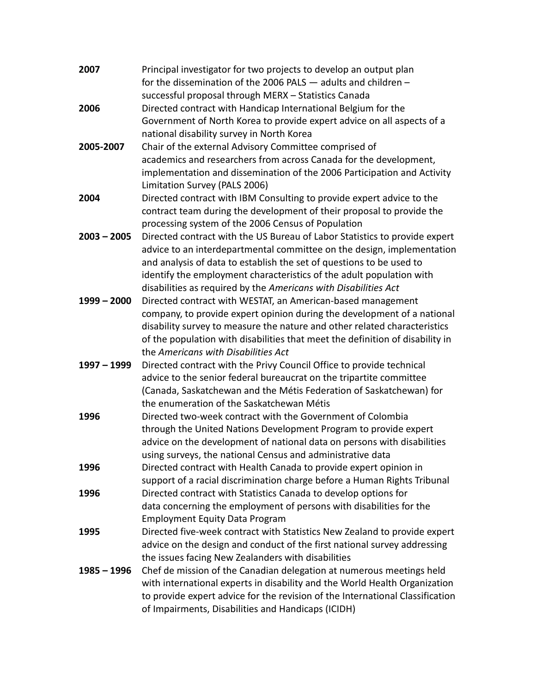| 2007          | Principal investigator for two projects to develop an output plan             |
|---------------|-------------------------------------------------------------------------------|
|               | for the dissemination of the 2006 PALS - adults and children -                |
|               | successful proposal through MERX - Statistics Canada                          |
| 2006          | Directed contract with Handicap International Belgium for the                 |
|               | Government of North Korea to provide expert advice on all aspects of a        |
|               | national disability survey in North Korea                                     |
| 2005-2007     | Chair of the external Advisory Committee comprised of                         |
|               | academics and researchers from across Canada for the development,             |
|               | implementation and dissemination of the 2006 Participation and Activity       |
|               | Limitation Survey (PALS 2006)                                                 |
| 2004          | Directed contract with IBM Consulting to provide expert advice to the         |
|               | contract team during the development of their proposal to provide the         |
|               | processing system of the 2006 Census of Population                            |
| $2003 - 2005$ | Directed contract with the US Bureau of Labor Statistics to provide expert    |
|               | advice to an interdepartmental committee on the design, implementation        |
|               | and analysis of data to establish the set of questions to be used to          |
|               | identify the employment characteristics of the adult population with          |
|               | disabilities as required by the Americans with Disabilities Act               |
| 1999 - 2000   | Directed contract with WESTAT, an American-based management                   |
|               | company, to provide expert opinion during the development of a national       |
|               | disability survey to measure the nature and other related characteristics     |
|               | of the population with disabilities that meet the definition of disability in |
|               | the Americans with Disabilities Act                                           |
| 1997 - 1999   | Directed contract with the Privy Council Office to provide technical          |
|               | advice to the senior federal bureaucrat on the tripartite committee           |
|               | (Canada, Saskatchewan and the Métis Federation of Saskatchewan) for           |
|               | the enumeration of the Saskatchewan Métis                                     |
| 1996          | Directed two-week contract with the Government of Colombia                    |
|               | through the United Nations Development Program to provide expert              |
|               | advice on the development of national data on persons with disabilities       |
|               | using surveys, the national Census and administrative data                    |
| 1996          | Directed contract with Health Canada to provide expert opinion in             |
|               | support of a racial discrimination charge before a Human Rights Tribunal      |
| 1996          | Directed contract with Statistics Canada to develop options for               |
|               | data concerning the employment of persons with disabilities for the           |
|               | <b>Employment Equity Data Program</b>                                         |
| 1995          | Directed five-week contract with Statistics New Zealand to provide expert     |
|               | advice on the design and conduct of the first national survey addressing      |
|               | the issues facing New Zealanders with disabilities                            |
| 1985 - 1996   | Chef de mission of the Canadian delegation at numerous meetings held          |
|               | with international experts in disability and the World Health Organization    |
|               | to provide expert advice for the revision of the International Classification |
|               | of Impairments, Disabilities and Handicaps (ICIDH)                            |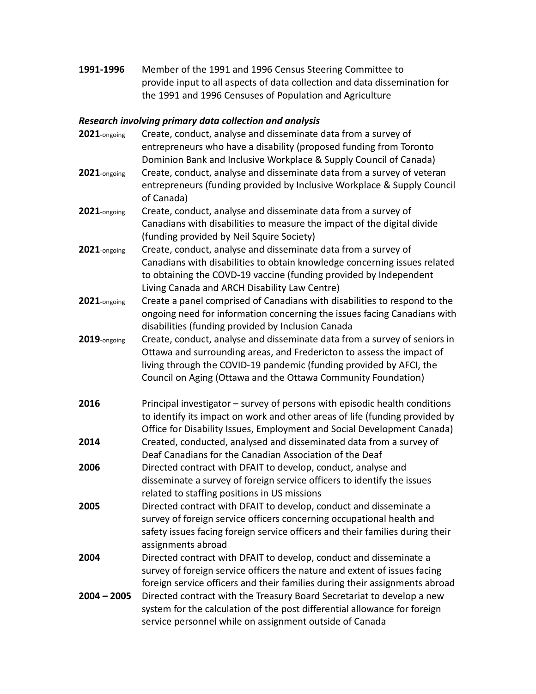**1991-1996** Member of the 1991 and 1996 Census Steering Committee to provide input to all aspects of data collection and data dissemination for the 1991 and 1996 Censuses of Population and Agriculture

# *Research involving primary data collection and analysis*

| 2021-ongoing  | Create, conduct, analyse and disseminate data from a survey of<br>entrepreneurs who have a disability (proposed funding from Toronto<br>Dominion Bank and Inclusive Workplace & Supply Council of Canada)                                                                                  |
|---------------|--------------------------------------------------------------------------------------------------------------------------------------------------------------------------------------------------------------------------------------------------------------------------------------------|
| 2021-ongoing  | Create, conduct, analyse and disseminate data from a survey of veteran<br>entrepreneurs (funding provided by Inclusive Workplace & Supply Council<br>of Canada)                                                                                                                            |
| 2021-ongoing  | Create, conduct, analyse and disseminate data from a survey of<br>Canadians with disabilities to measure the impact of the digital divide<br>(funding provided by Neil Squire Society)                                                                                                     |
| 2021-ongoing  | Create, conduct, analyse and disseminate data from a survey of<br>Canadians with disabilities to obtain knowledge concerning issues related<br>to obtaining the COVD-19 vaccine (funding provided by Independent<br>Living Canada and ARCH Disability Law Centre)                          |
| 2021-ongoing  | Create a panel comprised of Canadians with disabilities to respond to the<br>ongoing need for information concerning the issues facing Canadians with<br>disabilities (funding provided by Inclusion Canada                                                                                |
| 2019-ongoing  | Create, conduct, analyse and disseminate data from a survey of seniors in<br>Ottawa and surrounding areas, and Fredericton to assess the impact of<br>living through the COVID-19 pandemic (funding provided by AFCI, the<br>Council on Aging (Ottawa and the Ottawa Community Foundation) |
| 2016          | Principal investigator - survey of persons with episodic health conditions<br>to identify its impact on work and other areas of life (funding provided by<br>Office for Disability Issues, Employment and Social Development Canada)                                                       |
| 2014          | Created, conducted, analysed and disseminated data from a survey of<br>Deaf Canadians for the Canadian Association of the Deaf                                                                                                                                                             |
| 2006          | Directed contract with DFAIT to develop, conduct, analyse and<br>disseminate a survey of foreign service officers to identify the issues<br>related to staffing positions in US missions                                                                                                   |
| 2005          | Directed contract with DFAIT to develop, conduct and disseminate a<br>survey of foreign service officers concerning occupational health and<br>safety issues facing foreign service officers and their families during their<br>assignments abroad                                         |
| 2004          | Directed contract with DFAIT to develop, conduct and disseminate a<br>survey of foreign service officers the nature and extent of issues facing<br>foreign service officers and their families during their assignments abroad                                                             |
| $2004 - 2005$ | Directed contract with the Treasury Board Secretariat to develop a new<br>system for the calculation of the post differential allowance for foreign<br>service personnel while on assignment outside of Canada                                                                             |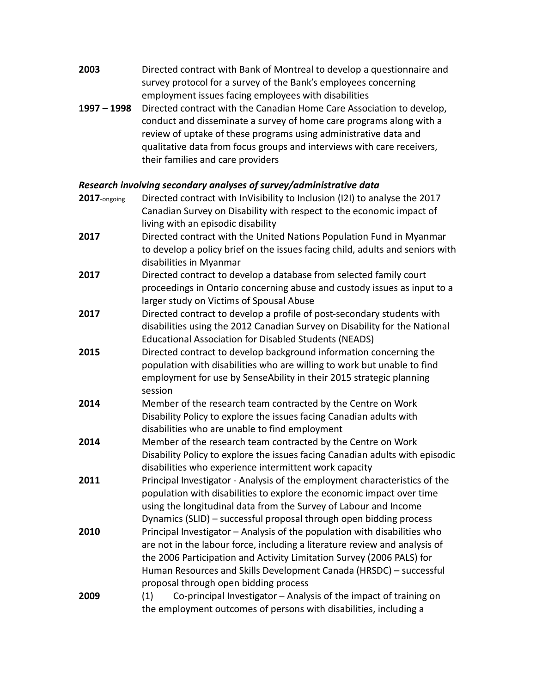| 2003 | Directed contract with Bank of Montreal to develop a questionnaire and |
|------|------------------------------------------------------------------------|
|      | survey protocol for a survey of the Bank's employees concerning        |
|      | employment issues facing employees with disabilities                   |

**1997 – 1998** Directed contract with the Canadian Home Care Association to develop, conduct and disseminate a survey of home care programs along with a review of uptake of these programs using administrative data and qualitative data from focus groups and interviews with care receivers, their families and care providers

# *Research involving secondary analyses of survey/administrative data*

| 2017-ongoing | Directed contract with InVisibility to Inclusion (I2I) to analyse the 2017                                                                            |
|--------------|-------------------------------------------------------------------------------------------------------------------------------------------------------|
|              | Canadian Survey on Disability with respect to the economic impact of                                                                                  |
| 2017         | living with an episodic disability                                                                                                                    |
|              | Directed contract with the United Nations Population Fund in Myanmar<br>to develop a policy brief on the issues facing child, adults and seniors with |
|              | disabilities in Myanmar                                                                                                                               |
| 2017         | Directed contract to develop a database from selected family court                                                                                    |
|              | proceedings in Ontario concerning abuse and custody issues as input to a                                                                              |
|              | larger study on Victims of Spousal Abuse                                                                                                              |
| 2017         | Directed contract to develop a profile of post-secondary students with                                                                                |
|              | disabilities using the 2012 Canadian Survey on Disability for the National                                                                            |
|              | <b>Educational Association for Disabled Students (NEADS)</b>                                                                                          |
| 2015         | Directed contract to develop background information concerning the                                                                                    |
|              | population with disabilities who are willing to work but unable to find                                                                               |
|              | employment for use by SenseAbility in their 2015 strategic planning                                                                                   |
|              | session                                                                                                                                               |
| 2014         | Member of the research team contracted by the Centre on Work                                                                                          |
|              | Disability Policy to explore the issues facing Canadian adults with                                                                                   |
|              | disabilities who are unable to find employment                                                                                                        |
| 2014         | Member of the research team contracted by the Centre on Work                                                                                          |
|              | Disability Policy to explore the issues facing Canadian adults with episodic                                                                          |
|              | disabilities who experience intermittent work capacity                                                                                                |
| 2011         | Principal Investigator - Analysis of the employment characteristics of the                                                                            |
|              | population with disabilities to explore the economic impact over time                                                                                 |
|              | using the longitudinal data from the Survey of Labour and Income                                                                                      |
|              | Dynamics (SLID) - successful proposal through open bidding process                                                                                    |
| 2010         | Principal Investigator - Analysis of the population with disabilities who                                                                             |
|              | are not in the labour force, including a literature review and analysis of                                                                            |
|              | the 2006 Participation and Activity Limitation Survey (2006 PALS) for                                                                                 |
|              | Human Resources and Skills Development Canada (HRSDC) - successful                                                                                    |
| 2009         | proposal through open bidding process<br>Co-principal Investigator - Analysis of the impact of training on<br>(1)                                     |
|              | the employment outcomes of persons with disabilities, including a                                                                                     |
|              |                                                                                                                                                       |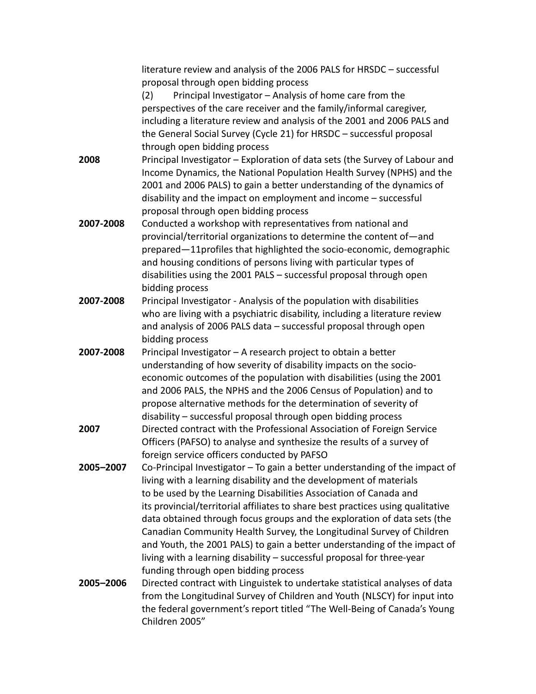|           | literature review and analysis of the 2006 PALS for HRSDC - successful          |
|-----------|---------------------------------------------------------------------------------|
|           | proposal through open bidding process                                           |
|           | Principal Investigator - Analysis of home care from the<br>(2)                  |
|           | perspectives of the care receiver and the family/informal caregiver,            |
|           | including a literature review and analysis of the 2001 and 2006 PALS and        |
|           | the General Social Survey (Cycle 21) for HRSDC - successful proposal            |
|           | through open bidding process                                                    |
| 2008      | Principal Investigator - Exploration of data sets (the Survey of Labour and     |
|           | Income Dynamics, the National Population Health Survey (NPHS) and the           |
|           | 2001 and 2006 PALS) to gain a better understanding of the dynamics of           |
|           | disability and the impact on employment and income - successful                 |
|           | proposal through open bidding process                                           |
| 2007-2008 | Conducted a workshop with representatives from national and                     |
|           | provincial/territorial organizations to determine the content of-and            |
|           | prepared-11profiles that highlighted the socio-economic, demographic            |
|           | and housing conditions of persons living with particular types of               |
|           | disabilities using the 2001 PALS - successful proposal through open             |
|           | bidding process                                                                 |
| 2007-2008 | Principal Investigator - Analysis of the population with disabilities           |
|           | who are living with a psychiatric disability, including a literature review     |
|           | and analysis of 2006 PALS data - successful proposal through open               |
|           | bidding process                                                                 |
| 2007-2008 | Principal Investigator - A research project to obtain a better                  |
|           | understanding of how severity of disability impacts on the socio-               |
|           | economic outcomes of the population with disabilities (using the 2001           |
|           | and 2006 PALS, the NPHS and the 2006 Census of Population) and to               |
|           | propose alternative methods for the determination of severity of                |
|           | disability - successful proposal through open bidding process                   |
| 2007      | Directed contract with the Professional Association of Foreign Service          |
|           | Officers (PAFSO) to analyse and synthesize the results of a survey of           |
|           | foreign service officers conducted by PAFSO                                     |
| 2005-2007 | Co-Principal Investigator - To gain a better understanding of the impact of     |
|           | living with a learning disability and the development of materials              |
|           | to be used by the Learning Disabilities Association of Canada and               |
|           | its provincial/territorial affiliates to share best practices using qualitative |
|           | data obtained through focus groups and the exploration of data sets (the        |
|           | Canadian Community Health Survey, the Longitudinal Survey of Children           |
|           | and Youth, the 2001 PALS) to gain a better understanding of the impact of       |
|           | living with a learning disability - successful proposal for three-year          |
|           | funding through open bidding process                                            |
| 2005-2006 | Directed contract with Linguistek to undertake statistical analyses of data     |
|           | from the Longitudinal Survey of Children and Youth (NLSCY) for input into       |
|           | the federal government's report titled "The Well-Being of Canada's Young        |
|           | Children 2005"                                                                  |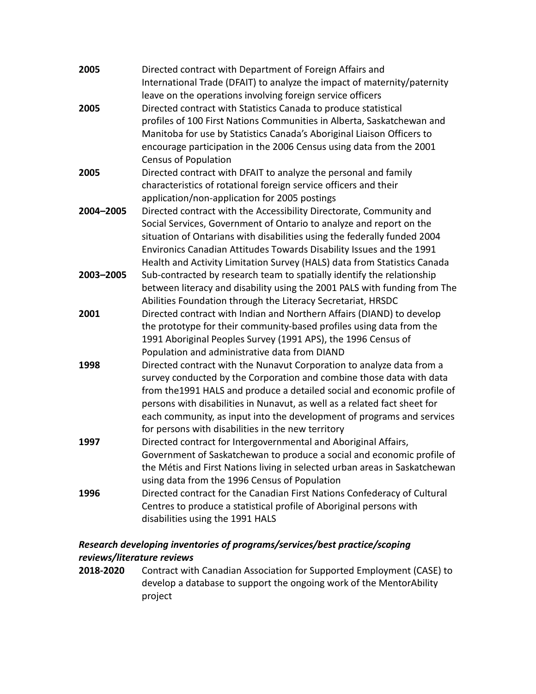| 2005      | Directed contract with Department of Foreign Affairs and                   |
|-----------|----------------------------------------------------------------------------|
|           | International Trade (DFAIT) to analyze the impact of maternity/paternity   |
|           | leave on the operations involving foreign service officers                 |
| 2005      | Directed contract with Statistics Canada to produce statistical            |
|           | profiles of 100 First Nations Communities in Alberta, Saskatchewan and     |
|           | Manitoba for use by Statistics Canada's Aboriginal Liaison Officers to     |
|           | encourage participation in the 2006 Census using data from the 2001        |
|           | <b>Census of Population</b>                                                |
| 2005      | Directed contract with DFAIT to analyze the personal and family            |
|           | characteristics of rotational foreign service officers and their           |
|           | application/non-application for 2005 postings                              |
| 2004-2005 | Directed contract with the Accessibility Directorate, Community and        |
|           | Social Services, Government of Ontario to analyze and report on the        |
|           | situation of Ontarians with disabilities using the federally funded 2004   |
|           | Environics Canadian Attitudes Towards Disability Issues and the 1991       |
|           | Health and Activity Limitation Survey (HALS) data from Statistics Canada   |
| 2003-2005 | Sub-contracted by research team to spatially identify the relationship     |
|           | between literacy and disability using the 2001 PALS with funding from The  |
|           | Abilities Foundation through the Literacy Secretariat, HRSDC               |
| 2001      | Directed contract with Indian and Northern Affairs (DIAND) to develop      |
|           | the prototype for their community-based profiles using data from the       |
|           | 1991 Aboriginal Peoples Survey (1991 APS), the 1996 Census of              |
|           | Population and administrative data from DIAND                              |
| 1998      | Directed contract with the Nunavut Corporation to analyze data from a      |
|           | survey conducted by the Corporation and combine those data with data       |
|           | from the 1991 HALS and produce a detailed social and economic profile of   |
|           | persons with disabilities in Nunavut, as well as a related fact sheet for  |
|           | each community, as input into the development of programs and services     |
|           | for persons with disabilities in the new territory                         |
| 1997      | Directed contract for Intergovernmental and Aboriginal Affairs,            |
|           | Government of Saskatchewan to produce a social and economic profile of     |
|           | the Métis and First Nations living in selected urban areas in Saskatchewan |
|           | using data from the 1996 Census of Population                              |
| 1996      | Directed contract for the Canadian First Nations Confederacy of Cultural   |
|           | Centres to produce a statistical profile of Aboriginal persons with        |
|           | disabilities using the 1991 HALS                                           |
|           |                                                                            |

## *Research developing inventories of programs/services/best practice/scoping reviews/literature reviews*

**2018-2020** Contract with Canadian Association for Supported Employment (CASE) to develop a database to support the ongoing work of the MentorAbility project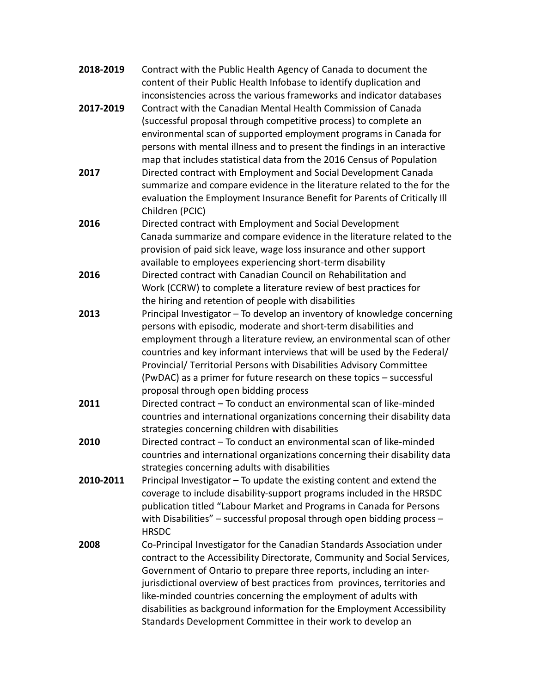| 2018-2019 | Contract with the Public Health Agency of Canada to document the<br>content of their Public Health Infobase to identify duplication and |
|-----------|-----------------------------------------------------------------------------------------------------------------------------------------|
|           | inconsistencies across the various frameworks and indicator databases                                                                   |
| 2017-2019 | Contract with the Canadian Mental Health Commission of Canada                                                                           |
|           | (successful proposal through competitive process) to complete an                                                                        |
|           | environmental scan of supported employment programs in Canada for                                                                       |
|           | persons with mental illness and to present the findings in an interactive                                                               |
|           | map that includes statistical data from the 2016 Census of Population                                                                   |
| 2017      | Directed contract with Employment and Social Development Canada                                                                         |
|           | summarize and compare evidence in the literature related to the for the                                                                 |
|           | evaluation the Employment Insurance Benefit for Parents of Critically Ill                                                               |
|           | Children (PCIC)                                                                                                                         |
| 2016      | Directed contract with Employment and Social Development                                                                                |
|           | Canada summarize and compare evidence in the literature related to the                                                                  |
|           | provision of paid sick leave, wage loss insurance and other support                                                                     |
|           | available to employees experiencing short-term disability                                                                               |
| 2016      | Directed contract with Canadian Council on Rehabilitation and                                                                           |
|           | Work (CCRW) to complete a literature review of best practices for                                                                       |
|           | the hiring and retention of people with disabilities                                                                                    |
| 2013      | Principal Investigator - To develop an inventory of knowledge concerning                                                                |
|           | persons with episodic, moderate and short-term disabilities and                                                                         |
|           | employment through a literature review, an environmental scan of other                                                                  |
|           | countries and key informant interviews that will be used by the Federal/                                                                |
|           | Provincial/ Territorial Persons with Disabilities Advisory Committee                                                                    |
|           | (PwDAC) as a primer for future research on these topics - successful                                                                    |
|           | proposal through open bidding process                                                                                                   |
| 2011      | Directed contract - To conduct an environmental scan of like-minded                                                                     |
|           | countries and international organizations concerning their disability data                                                              |
|           | strategies concerning children with disabilities                                                                                        |
| 2010      | Directed contract - To conduct an environmental scan of like-minded                                                                     |
|           | countries and international organizations concerning their disability data                                                              |
|           | strategies concerning adults with disabilities                                                                                          |
| 2010-2011 | Principal Investigator - To update the existing content and extend the                                                                  |
|           | coverage to include disability-support programs included in the HRSDC                                                                   |
|           | publication titled "Labour Market and Programs in Canada for Persons                                                                    |
|           | with Disabilities" - successful proposal through open bidding process -                                                                 |
|           | <b>HRSDC</b>                                                                                                                            |
| 2008      | Co-Principal Investigator for the Canadian Standards Association under                                                                  |
|           | contract to the Accessibility Directorate, Community and Social Services,                                                               |
|           | Government of Ontario to prepare three reports, including an inter-                                                                     |
|           | jurisdictional overview of best practices from provinces, territories and                                                               |
|           | like-minded countries concerning the employment of adults with                                                                          |
|           | disabilities as background information for the Employment Accessibility                                                                 |
|           | Standards Development Committee in their work to develop an                                                                             |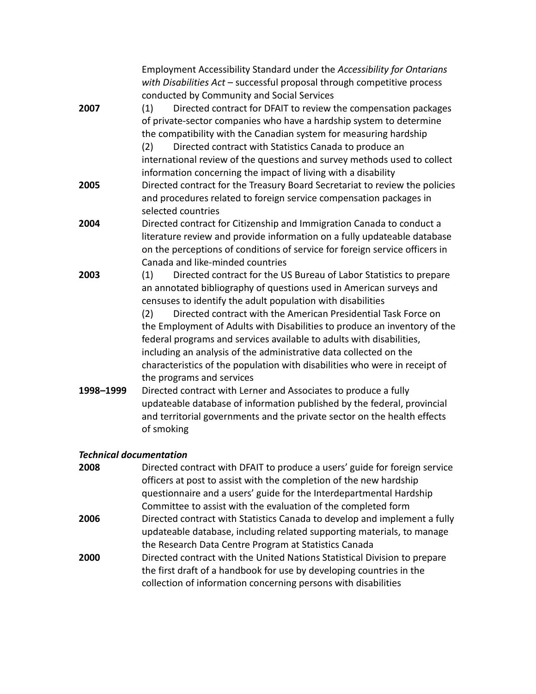|                                | Employment Accessibility Standard under the Accessibility for Ontarians<br>with Disabilities Act - successful proposal through competitive process |
|--------------------------------|----------------------------------------------------------------------------------------------------------------------------------------------------|
|                                | conducted by Community and Social Services                                                                                                         |
| 2007                           | Directed contract for DFAIT to review the compensation packages<br>(1)                                                                             |
|                                | of private-sector companies who have a hardship system to determine                                                                                |
|                                | the compatibility with the Canadian system for measuring hardship                                                                                  |
|                                | Directed contract with Statistics Canada to produce an<br>(2)                                                                                      |
|                                | international review of the questions and survey methods used to collect                                                                           |
|                                | information concerning the impact of living with a disability                                                                                      |
| 2005                           | Directed contract for the Treasury Board Secretariat to review the policies                                                                        |
|                                | and procedures related to foreign service compensation packages in                                                                                 |
|                                | selected countries                                                                                                                                 |
| 2004                           | Directed contract for Citizenship and Immigration Canada to conduct a                                                                              |
|                                | literature review and provide information on a fully updateable database                                                                           |
|                                | on the perceptions of conditions of service for foreign service officers in                                                                        |
|                                | Canada and like-minded countries                                                                                                                   |
| 2003                           | (1)<br>Directed contract for the US Bureau of Labor Statistics to prepare                                                                          |
|                                | an annotated bibliography of questions used in American surveys and                                                                                |
|                                | censuses to identify the adult population with disabilities                                                                                        |
|                                | Directed contract with the American Presidential Task Force on<br>(2)                                                                              |
|                                | the Employment of Adults with Disabilities to produce an inventory of the                                                                          |
|                                | federal programs and services available to adults with disabilities,                                                                               |
|                                | including an analysis of the administrative data collected on the                                                                                  |
|                                | characteristics of the population with disabilities who were in receipt of                                                                         |
|                                | the programs and services                                                                                                                          |
| 1998-1999                      | Directed contract with Lerner and Associates to produce a fully                                                                                    |
|                                | updateable database of information published by the federal, provincial                                                                            |
|                                | and territorial governments and the private sector on the health effects                                                                           |
|                                | of smoking                                                                                                                                         |
|                                |                                                                                                                                                    |
| <b>Technical documentation</b> |                                                                                                                                                    |

**2008** Directed contract with DFAIT to produce a users' guide for foreign service officers at post to assist with the completion of the new hardship questionnaire and a users' guide for the Interdepartmental Hardship Committee to assist with the evaluation of the completed form **2006** Directed contract with Statistics Canada to develop and implement a fully updateable database, including related supporting materials, to manage the Research Data Centre Program at Statistics Canada **2000** Directed contract with the United Nations Statistical Division to prepare the first draft of a handbook for use by developing countries in the collection of information concerning persons with disabilities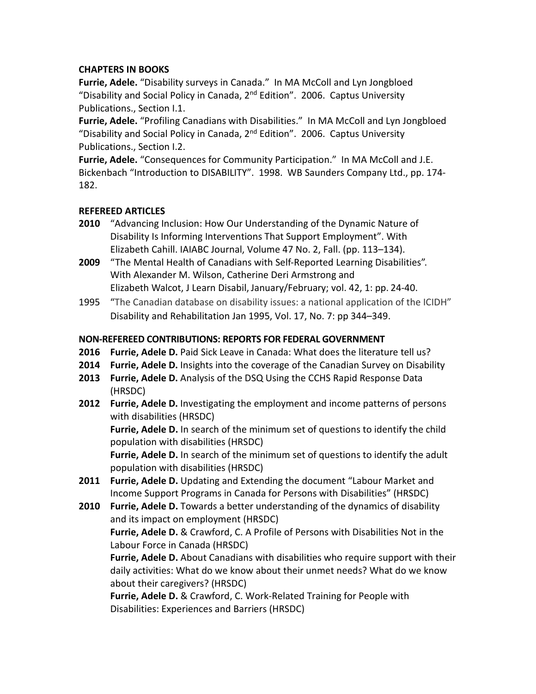#### **CHAPTERS IN BOOKS**

**Furrie, Adele.** "Disability surveys in Canada." In MA McColl and Lyn Jongbloed "Disability and Social Policy in Canada,  $2<sup>nd</sup>$  Edition". 2006. Captus University Publications., Section I.1.

**Furrie, Adele.** "Profiling Canadians with Disabilities." In MA McColl and Lyn Jongbloed "Disability and Social Policy in Canada,  $2<sup>nd</sup>$  Edition". 2006. Captus University Publications., Section I.2.

**Furrie, Adele.** "Consequences for Community Participation." In MA McColl and J.E. Bickenbach "Introduction to DISABILITY". 1998. WB Saunders Company Ltd., pp. 174- 182.

#### **REFEREED ARTICLES**

- **2010** "Advancing Inclusion: How Our Understanding of the Dynamic Nature of Disability Is Informing Interventions That Support Employment". With Elizabeth Cahill. IAIABC Journal, Volume 47 No. 2, Fall. (pp. 113–134).
- **2009** "The Mental Health of Canadians with Self-Reported Learning Disabilities". With Alexander M. Wilson, Catherine Deri Armstrong and Elizabeth Walcot, J Learn Disabil, January/February; vol. 42, 1: pp. 24-40.
- 1995 "The Canadian database on disability issues: a national application of the ICIDH" Disability and Rehabilitation Jan 1995, Vol. 17, No. 7: pp 344–349.

### **NON-REFEREED CONTRIBUTIONS: REPORTS FOR FEDERAL GOVERNMENT**

- **2016 Furrie, Adele D.** Paid Sick Leave in Canada: What does the literature tell us?
- **2014 Furrie, Adele D.** Insights into the coverage of the Canadian Survey on Disability
- **2013 Furrie, Adele D.** Analysis of the DSQ Using the CCHS Rapid Response Data (HRSDC)
- **2012 Furrie, Adele D.** Investigating the employment and income patterns of persons with disabilities (HRSDC)

 **Furrie, Adele D.** In search of the minimum set of questions to identify the child population with disabilities (HRSDC)

 **Furrie, Adele D.** In search of the minimum set of questions to identify the adult population with disabilities (HRSDC)

- **2011 Furrie, Adele D.** Updating and Extending the document "Labour Market and Income Support Programs in Canada for Persons with Disabilities" (HRSDC)
- **2010 Furrie, Adele D.** Towards a better understanding of the dynamics of disability and its impact on employment (HRSDC)

 **Furrie, Adele D.** & Crawford, C. A Profile of Persons with Disabilities Not in the Labour Force in Canada (HRSDC)

**Furrie, Adele D.** About Canadians with disabilities who require support with their daily activities: What do we know about their unmet needs? What do we know about their caregivers? (HRSDC)

 **Furrie, Adele D.** & Crawford, C. Work-Related Training for People with Disabilities: Experiences and Barriers (HRSDC)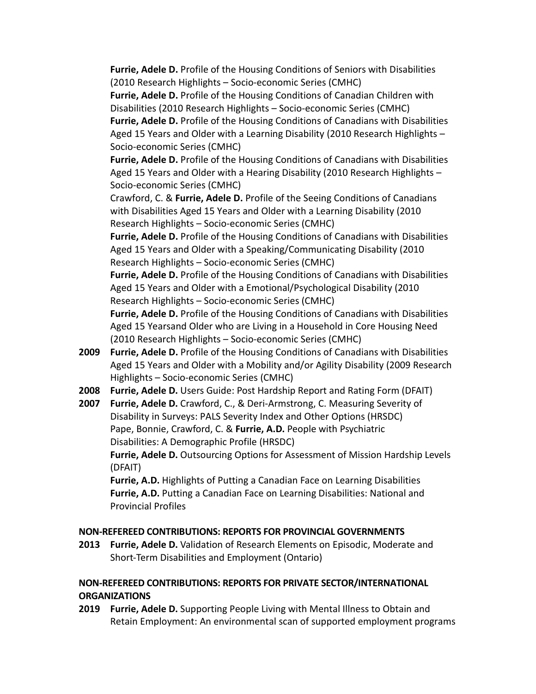**Furrie, Adele D.** Profile of the Housing Conditions of Seniors with Disabilities (2010 Research Highlights – Socio-economic Series (CMHC)

**Furrie, Adele D.** Profile of the Housing Conditions of Canadian Children with Disabilities (2010 Research Highlights – Socio-economic Series (CMHC)

**Furrie, Adele D.** Profile of the Housing Conditions of Canadians with Disabilities Aged 15 Years and Older with a Learning Disability (2010 Research Highlights – Socio-economic Series (CMHC)

**Furrie, Adele D.** Profile of the Housing Conditions of Canadians with Disabilities Aged 15 Years and Older with a Hearing Disability (2010 Research Highlights – Socio-economic Series (CMHC)

Crawford, C. & **Furrie, Adele D.** Profile of the Seeing Conditions of Canadians with Disabilities Aged 15 Years and Older with a Learning Disability (2010 Research Highlights – Socio-economic Series (CMHC)

**Furrie, Adele D.** Profile of the Housing Conditions of Canadians with Disabilities Aged 15 Years and Older with a Speaking/Communicating Disability (2010 Research Highlights – Socio-economic Series (CMHC)

**Furrie, Adele D.** Profile of the Housing Conditions of Canadians with Disabilities Aged 15 Years and Older with a Emotional/Psychological Disability (2010 Research Highlights – Socio-economic Series (CMHC)

**Furrie, Adele D.** Profile of the Housing Conditions of Canadians with Disabilities Aged 15 Yearsand Older who are Living in a Household in Core Housing Need (2010 Research Highlights – Socio-economic Series (CMHC)

- **2009 Furrie, Adele D.** Profile of the Housing Conditions of Canadians with Disabilities Aged 15 Years and Older with a Mobility and/or Agility Disability (2009 Research Highlights – Socio-economic Series (CMHC)
- **2008 Furrie, Adele D.** Users Guide: Post Hardship Report and Rating Form (DFAIT)
- **2007 Furrie, Adele D.** Crawford, C., & Deri-Armstrong, C. Measuring Severity of Disability in Surveys: PALS Severity Index and Other Options (HRSDC) Pape, Bonnie, Crawford, C. & **Furrie, A.D.** People with Psychiatric Disabilities: A Demographic Profile (HRSDC)

**Furrie, Adele D.** Outsourcing Options for Assessment of Mission Hardship Levels (DFAIT)

**Furrie, A.D.** Highlights of Putting a Canadian Face on Learning Disabilities **Furrie, A.D.** Putting a Canadian Face on Learning Disabilities: National and Provincial Profiles

## **NON-REFEREED CONTRIBUTIONS: REPORTS FOR PROVINCIAL GOVERNMENTS**

**2013 Furrie, Adele D.** Validation of Research Elements on Episodic, Moderate and Short-Term Disabilities and Employment (Ontario)

### **NON-REFEREED CONTRIBUTIONS: REPORTS FOR PRIVATE SECTOR/INTERNATIONAL ORGANIZATIONS**

**2019 Furrie, Adele D.** Supporting People Living with Mental Illness to Obtain and Retain Employment: An environmental scan of supported employment programs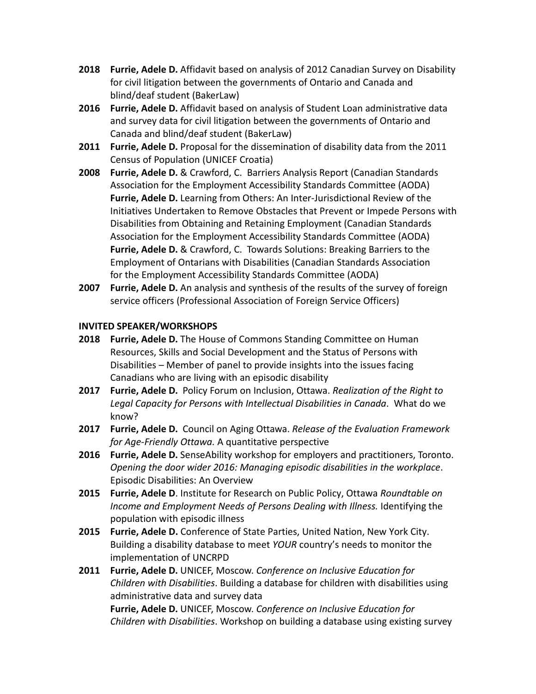- **2018 Furrie, Adele D.** Affidavit based on analysis of 2012 Canadian Survey on Disability for civil litigation between the governments of Ontario and Canada and blind/deaf student (BakerLaw)
- **2016 Furrie, Adele D.** Affidavit based on analysis of Student Loan administrative data and survey data for civil litigation between the governments of Ontario and Canada and blind/deaf student (BakerLaw)
- **2011 Furrie, Adele D.** Proposal for the dissemination of disability data from the 2011 Census of Population (UNICEF Croatia)
- **2008 Furrie, Adele D.** & Crawford, C. Barriers Analysis Report (Canadian Standards Association for the Employment Accessibility Standards Committee (AODA) **Furrie, Adele D.** Learning from Others: An Inter-Jurisdictional Review of the Initiatives Undertaken to Remove Obstacles that Prevent or Impede Persons with Disabilities from Obtaining and Retaining Employment (Canadian Standards Association for the Employment Accessibility Standards Committee (AODA)  **Furrie, Adele D.** & Crawford, C. Towards Solutions: Breaking Barriers to the Employment of Ontarians with Disabilities (Canadian Standards Association for the Employment Accessibility Standards Committee (AODA)
- **2007 Furrie, Adele D.** An analysis and synthesis of the results of the survey of foreign service officers (Professional Association of Foreign Service Officers)

#### **INVITED SPEAKER/WORKSHOPS**

- **2018 Furrie, Adele D.** The House of Commons Standing Committee on Human Resources, Skills and Social Development and the Status of Persons with Disabilities – Member of panel to provide insights into the issues facing Canadians who are living with an episodic disability
- **2017 Furrie, Adele D.** Policy Forum on Inclusion, Ottawa. *Realization of the Right to Legal Capacity for Persons with Intellectual Disabilities in Canada*. What do we know?
- **2017 Furrie, Adele D.** Council on Aging Ottawa. *Release of the Evaluation Framework for Age-Friendly Ottawa.* A quantitative perspective
- **2016 Furrie, Adele D.** SenseAbility workshop for employers and practitioners, Toronto. *Opening the door wider 2016: Managing episodic disabilities in the workplace*. Episodic Disabilities: An Overview
- **2015 Furrie, Adele D**. Institute for Research on Public Policy, Ottawa *Roundtable on Income and Employment Needs of Persons Dealing with Illness.* Identifying the population with episodic illness
- **2015 Furrie, Adele D.** Conference of State Parties, United Nation, New York City. Building a disability database to meet *YOUR* country's needs to monitor the implementation of UNCRPD
- **2011 Furrie, Adele D.** UNICEF, Moscow. *Conference on Inclusive Education for Children with Disabilities*. Building a database for children with disabilities using administrative data and survey data

**Furrie, Adele D.** UNICEF, Moscow. *Conference on Inclusive Education for Children with Disabilities*. Workshop on building a database using existing survey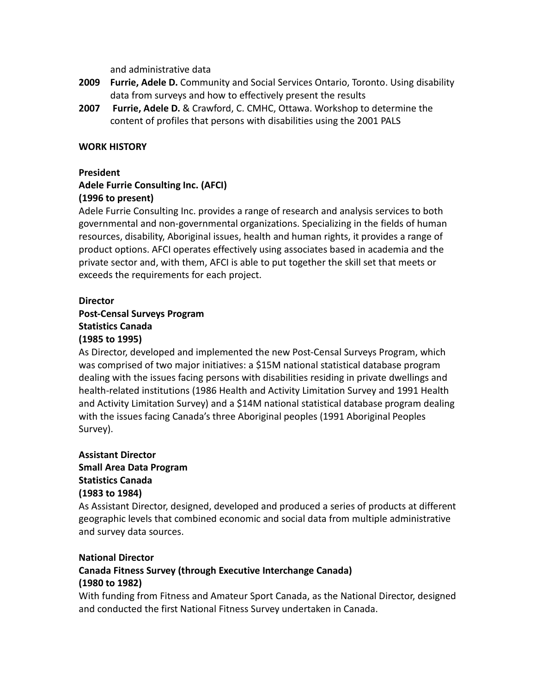and administrative data

- **2009 Furrie, Adele D.** Community and Social Services Ontario, Toronto. Using disability data from surveys and how to effectively present the results
- **2007 Furrie, Adele D.** & Crawford, C. CMHC, Ottawa. Workshop to determine the content of profiles that persons with disabilities using the 2001 PALS

#### **WORK HISTORY**

#### **President**

## **Adele Furrie Consulting Inc. (AFCI) (1996 to present)**

Adele Furrie Consulting Inc. provides a range of research and analysis services to both governmental and non-governmental organizations. Specializing in the fields of human resources, disability, Aboriginal issues, health and human rights, it provides a range of product options. AFCI operates effectively using associates based in academia and the private sector and, with them, AFCI is able to put together the skill set that meets or exceeds the requirements for each project.

#### **Director**

# **Post-Censal Surveys Program Statistics Canada (1985 to 1995)**

As Director, developed and implemented the new Post-Censal Surveys Program, which was comprised of two major initiatives: a \$15M national statistical database program dealing with the issues facing persons with disabilities residing in private dwellings and health-related institutions (1986 Health and Activity Limitation Survey and 1991 Health and Activity Limitation Survey) and a \$14M national statistical database program dealing with the issues facing Canada's three Aboriginal peoples (1991 Aboriginal Peoples Survey).

# **Assistant Director**

**Small Area Data Program Statistics Canada (1983 to 1984)** 

As Assistant Director, designed, developed and produced a series of products at different geographic levels that combined economic and social data from multiple administrative and survey data sources.

#### **National Director**

# **Canada Fitness Survey (through Executive Interchange Canada) (1980 to 1982)**

With funding from Fitness and Amateur Sport Canada, as the National Director, designed and conducted the first National Fitness Survey undertaken in Canada.